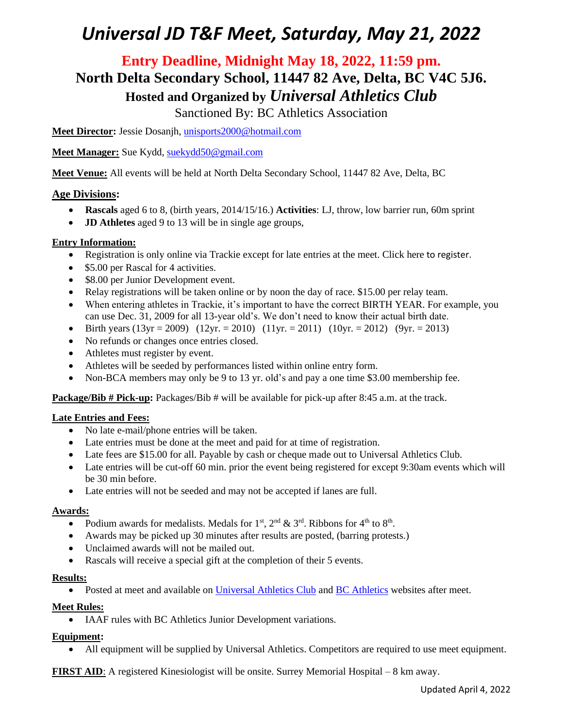### **Entry Deadline, Midnight May 18, 2022, 11:59 pm. North Delta Secondary School, 11447 82 Ave, Delta, BC V4C 5J6. Hosted and Organized by** *Universal Athletics Club*

Sanctioned By: BC Athletics Association

**Meet Director:** Jessie Dosanjh, [unisports2000@hotmail.com](mailto:unisports2000@hotmail.com)

**Meet Manager:** Sue Kydd, [suekydd50@gmail.com](mailto:suekydd50@gmail.com)

**Meet Venue:** All events will be held at North Delta Secondary School, 11447 82 Ave, Delta, BC

#### **Age Divisions:**

- **Rascals** aged 6 to 8, (birth years, 2014/15/16.) **Activities**: LJ, throw, low barrier run, 60m sprint
- **JD Athletes** aged 9 to 13 will be in single age groups,

#### **Entry Information:**

- Registration is only online via Trackie except for late entries at the meet. Click here to register.
- \$5.00 per Rascal for 4 activities.
- \$8.00 per Junior Development event.
- Relay registrations will be taken online or by noon the day of race. \$15.00 per relay team.
- When entering athletes in Trackie, it's important to have the correct BIRTH YEAR. For example, you can use Dec. 31, 2009 for all 13-year old's. We don't need to know their actual birth date.
- Birth years (13yr = 2009) (12yr. = 2010) (11yr. = 2011) (10yr. = 2012) (9yr. = 2013)
- No refunds or changes once entries closed.
- Athletes must register by event.
- Athletes will be seeded by performances listed within online entry form.
- Non-BCA members may only be 9 to 13 yr. old's and pay a one time \$3.00 membership fee.

**Package/Bib # Pick-up:** Packages/Bib # will be available for pick-up after 8:45 a.m. at the track.

#### **Late Entries and Fees:**

- No late e-mail/phone entries will be taken.
- Late entries must be done at the meet and paid for at time of registration.
- Late fees are \$15.00 for all. Payable by cash or cheque made out to Universal Athletics Club.
- Late entries will be cut-off 60 min. prior the event being registered for except 9:30am events which will be 30 min before.
- Late entries will not be seeded and may not be accepted if lanes are full.

#### **Awards:**

- Podium awards for medalists. Medals for  $1<sup>st</sup>$ ,  $2<sup>nd</sup>$  &  $3<sup>rd</sup>$ . Ribbons for  $4<sup>th</sup>$  to  $8<sup>th</sup>$ .
- Awards may be picked up 30 minutes after results are posted, (barring protests.)
- Unclaimed awards will not be mailed out.
- Rascals will receive a special gift at the completion of their 5 events.

#### **Results:**

• Posted at meet and available on [Universal Athletics Club](https://www.universalathleticsclub.ca/) and [BC Athletics](http://www.bcathletics.org/) websites after meet.

#### **Meet Rules:**

• IAAF rules with BC Athletics Junior Development variations.

#### **Equipment:**

• All equipment will be supplied by Universal Athletics. Competitors are required to use meet equipment.

**FIRST AID**: A registered Kinesiologist will be onsite. Surrey Memorial Hospital – 8 km away.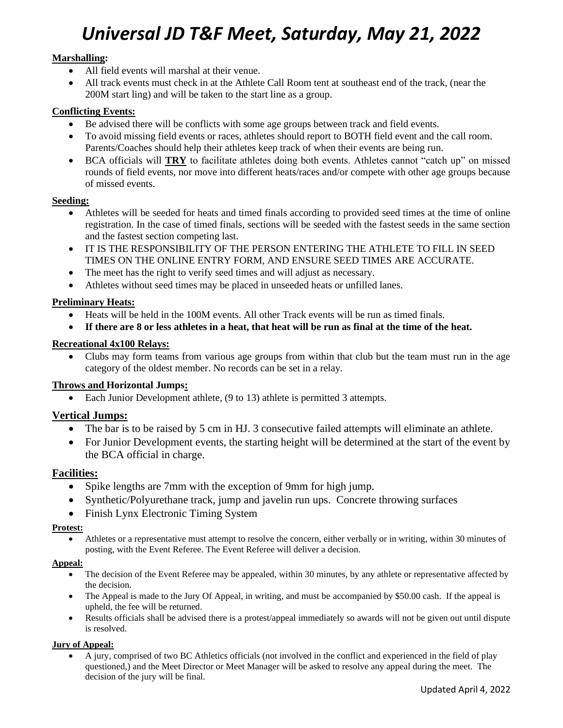#### **Marshalling:**

- All field events will marshal at their venue.
- All track events must check in at the Athlete Call Room tent at southeast end of the track, (near the 200M start ling) and will be taken to the start line as a group.

#### **Conflicting Events:**

- Be advised there will be conflicts with some age groups between track and field events.
- To avoid missing field events or races, athletes should report to BOTH field event and the call room. Parents/Coaches should help their athletes keep track of when their events are being run.
- BCA officials will **TRY** to facilitate athletes doing both events. Athletes cannot "catch up" on missed rounds of field events, nor move into different heats/races and/or compete with other age groups because of missed events.

#### **Seeding:**

- Athletes will be seeded for heats and timed finals according to provided seed times at the time of online registration. In the case of timed finals, sections will be seeded with the fastest seeds in the same section and the fastest section competing last.
- IT IS THE RESPONSIBILITY OF THE PERSON ENTERING THE ATHLETE TO FILL IN SEED TIMES ON THE ONLINE ENTRY FORM, AND ENSURE SEED TIMES ARE ACCURATE.
- The meet has the right to verify seed times and will adjust as necessary.
- Athletes without seed times may be placed in unseeded heats or unfilled lanes.

#### **Preliminary Heats:**

- Heats will be held in the 100M events. All other Track events will be run as timed finals.
- **If there are 8 or less athletes in a heat, that heat will be run as final at the time of the heat.**

#### **Recreational 4x100 Relays:**

• Clubs may form teams from various age groups from within that club but the team must run in the age category of the oldest member. No records can be set in a relay.

#### **Throws and Horizontal Jumps:**

• Each Junior Development athlete, (9 to 13) athlete is permitted 3 attempts.

#### **Vertical Jumps:**

- The bar is to be raised by 5 cm in HJ. 3 consecutive failed attempts will eliminate an athlete.
- For Junior Development events, the starting height will be determined at the start of the event by the BCA official in charge.

#### **Facilities:**

- Spike lengths are 7mm with the exception of 9mm for high jump.
- Synthetic/Polyurethane track, jump and javelin run ups. Concrete throwing surfaces
- Finish Lynx Electronic Timing System

#### **Protest:**

• Athletes or a representative must attempt to resolve the concern, either verbally or in writing, within 30 minutes of posting, with the Event Referee. The Event Referee will deliver a decision.

#### **Appeal:**

- The decision of the Event Referee may be appealed, within 30 minutes, by any athlete or representative affected by the decision.
- The Appeal is made to the Jury Of Appeal, in writing, and must be accompanied by \$50.00 cash. If the appeal is upheld, the fee will be returned.
- Results officials shall be advised there is a protest/appeal immediately so awards will not be given out until dispute is resolved.

#### **Jury of Appeal:**

• A jury, comprised of two BC Athletics officials (not involved in the conflict and experienced in the field of play questioned,) and the Meet Director or Meet Manager will be asked to resolve any appeal during the meet. The decision of the jury will be final.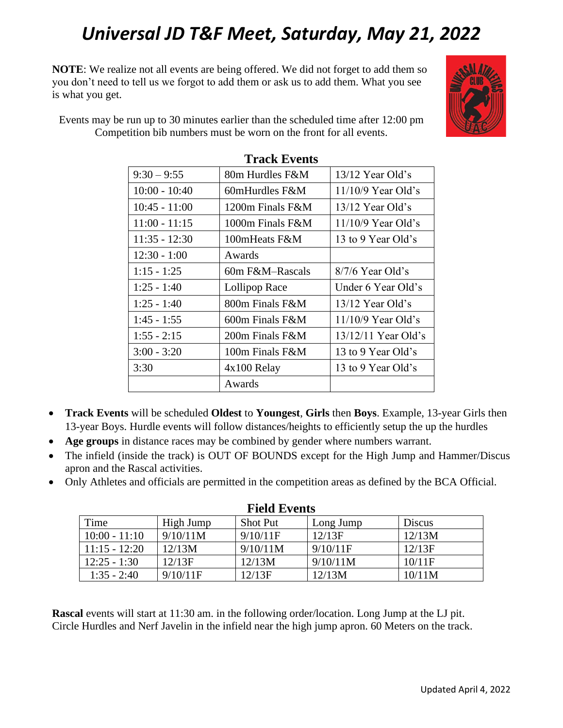**NOTE**: We realize not all events are being offered. We did not forget to add them so you don't need to tell us we forgot to add them or ask us to add them. What you see is what you get.



Events may be run up to 30 minutes earlier than the scheduled time after 12:00 pm Competition bib numbers must be worn on the front for all events.

| 1 І АСІХ 19 УСПАЭ |                   |                       |  |  |  |  |  |
|-------------------|-------------------|-----------------------|--|--|--|--|--|
| $9:30 - 9:55$     | 80m Hurdles F&M   | $13/12$ Year Old's    |  |  |  |  |  |
| $10:00 - 10:40$   | 60mHurdles $F\&M$ | $11/10/9$ Year Old's  |  |  |  |  |  |
| $10:45 - 11:00$   | 1200m Finals F&M  | $13/12$ Year Old's    |  |  |  |  |  |
| $11:00 - 11:15$   | 1000m Finals F&M  | $11/10/9$ Year Old's  |  |  |  |  |  |
| $11:35 - 12:30$   | 100mHeats F&M     | 13 to 9 Year Old's    |  |  |  |  |  |
| $12:30 - 1:00$    | Awards            |                       |  |  |  |  |  |
| $1:15 - 1:25$     | 60m F&M–Rascals   | $8/7/6$ Year Old's    |  |  |  |  |  |
| $1:25 - 1:40$     | Lollipop Race     | Under 6 Year Old's    |  |  |  |  |  |
| $1:25 - 1:40$     | 800m Finals F&M   | $13/12$ Year Old's    |  |  |  |  |  |
| $1:45 - 1:55$     | 600m Finals F&M   | $11/10/9$ Year Old's  |  |  |  |  |  |
| $1:55 - 2:15$     | 200m Finals F&M   | $13/12/11$ Year Old's |  |  |  |  |  |
| $3:00 - 3:20$     | 100m Finals F&M   | 13 to 9 Year Old's    |  |  |  |  |  |
| 3:30              | $4x100$ Relay     | 13 to 9 Year Old's    |  |  |  |  |  |
|                   | Awards            |                       |  |  |  |  |  |

### **Track Events**

- **Track Events** will be scheduled **Oldest** to **Youngest**, **Girls** then **Boys**. Example, 13-year Girls then 13-year Boys. Hurdle events will follow distances/heights to efficiently setup the up the hurdles
- **Age groups** in distance races may be combined by gender where numbers warrant.
- The infield (inside the track) is OUT OF BOUNDS except for the High Jump and Hammer/Discus apron and the Rascal activities.
- Only Athletes and officials are permitted in the competition areas as defined by the BCA Official.

| <b>Field Events</b> |           |                 |           |        |  |  |  |  |
|---------------------|-----------|-----------------|-----------|--------|--|--|--|--|
| Time                | High Jump | <b>Shot Put</b> | Long Jump | Discus |  |  |  |  |
| $10:00 - 11:10$     | 9/10/11M  | 9/10/11F        | 12/13F    | 12/13M |  |  |  |  |
| $11:15 - 12:20$     | 12/13M    | 9/10/11M        | 9/10/11F  | 12/13F |  |  |  |  |
| $12:25 - 1:30$      | 12/13F    | 12/13M          | 9/10/11M  | 10/11F |  |  |  |  |
| $1:35 - 2:40$       | 9/10/11F  | 12/13F          | 12/13M    | 10/11M |  |  |  |  |

**Rascal** events will start at 11:30 am. in the following order/location. Long Jump at the LJ pit. Circle Hurdles and Nerf Javelin in the infield near the high jump apron. 60 Meters on the track.